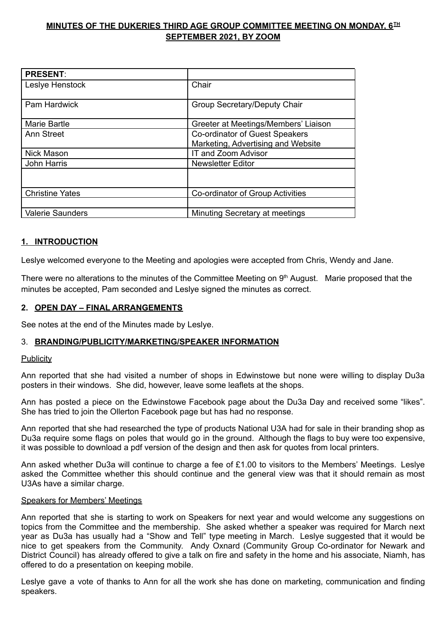# **MINUTES OF THE DUKERIES THIRD AGE GROUP COMMITTEE MEETING ON MONDAY, 6 TH SEPTEMBER 2021, BY ZOOM**

| <b>PRESENT:</b>         |                                      |
|-------------------------|--------------------------------------|
| Leslye Henstock         | Chair                                |
| <b>Pam Hardwick</b>     | Group Secretary/Deputy Chair         |
| <b>Marie Bartle</b>     | Greeter at Meetings/Members' Liaison |
| Ann Street              | Co-ordinator of Guest Speakers       |
|                         | Marketing, Advertising and Website   |
| <b>Nick Mason</b>       | IT and Zoom Advisor                  |
| John Harris             | <b>Newsletter Editor</b>             |
|                         |                                      |
| <b>Christine Yates</b>  | Co-ordinator of Group Activities     |
|                         |                                      |
| <b>Valerie Saunders</b> | Minuting Secretary at meetings       |

# **1. INTRODUCTION**

Leslye welcomed everyone to the Meeting and apologies were accepted from Chris, Wendy and Jane.

There were no alterations to the minutes of the Committee Meeting on  $9<sup>th</sup>$  August. Marie proposed that the minutes be accepted, Pam seconded and Leslye signed the minutes as correct.

## **2. OPEN DAY – FINAL ARRANGEMENTS**

See notes at the end of the Minutes made by Leslye.

### 3. **BRANDING/PUBLICITY/MARKETING/SPEAKER INFORMATION**

#### **Publicity**

Ann reported that she had visited a number of shops in Edwinstowe but none were willing to display Du3a posters in their windows. She did, however, leave some leaflets at the shops.

Ann has posted a piece on the Edwinstowe Facebook page about the Du3a Day and received some "likes". She has tried to join the Ollerton Facebook page but has had no response.

Ann reported that she had researched the type of products National U3A had for sale in their branding shop as Du3a require some flags on poles that would go in the ground. Although the flags to buy were too expensive, it was possible to download a pdf version of the design and then ask for quotes from local printers.

Ann asked whether Du3a will continue to charge a fee of £1.00 to visitors to the Members' Meetings. Leslye asked the Committee whether this should continue and the general view was that it should remain as most U3As have a similar charge.

#### Speakers for Members' Meetings

Ann reported that she is starting to work on Speakers for next year and would welcome any suggestions on topics from the Committee and the membership. She asked whether a speaker was required for March next year as Du3a has usually had a "Show and Tell" type meeting in March. Leslye suggested that it would be nice to get speakers from the Community. Andy Oxnard (Community Group Co-ordinator for Newark and District Council) has already offered to give a talk on fire and safety in the home and his associate, Niamh, has offered to do a presentation on keeping mobile.

Leslye gave a vote of thanks to Ann for all the work she has done on marketing, communication and finding speakers.